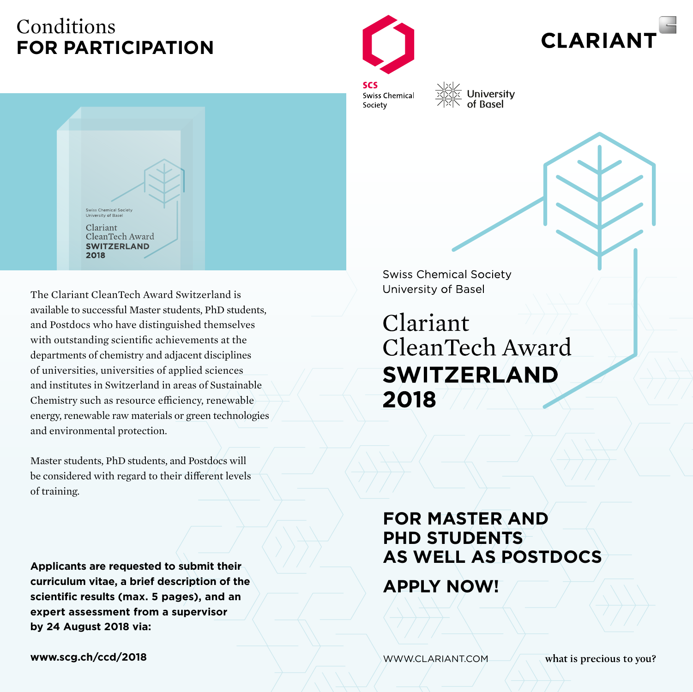## Conditions **FOR PARTICIPATION**



**CLARIAN** 

**SCS** Swiss Chemical Society

iversity<br>I∑ University<br>I∑ of Basel



The Clariant CleanTech Award Switzerland is available to successful Master students, PhD students, and Postdocs who have distinguished themselves with outstanding scientific achievements at the departments of chemistry and adjacent disciplines of universities, universities of applied sciences and institutes in Switzerland in areas of Sustainable Chemistry such as resource efficiency, renewable energy, renewable raw materials or green technologies and environmental protection.

Master students, PhD students, and Postdocs will be considered with regard to their different levels of training.

**Applicants are requested to submit their curriculum vitae, a brief description of the scientific results (max. 5 pages), and an expert assessment from a supervisor by 24 August 2018 via:**

**www.scg.ch/ccd/2018**

**Swiss Chemical Society** University of Basel

Clariant CleanTech Award **SWITZERLAND** 2018

## **FOR MASTER AND PHD STUDENTS As WELL AS POSTDOCS**

**APPLY NOW!**

www.clariant.com

what is precious to you?